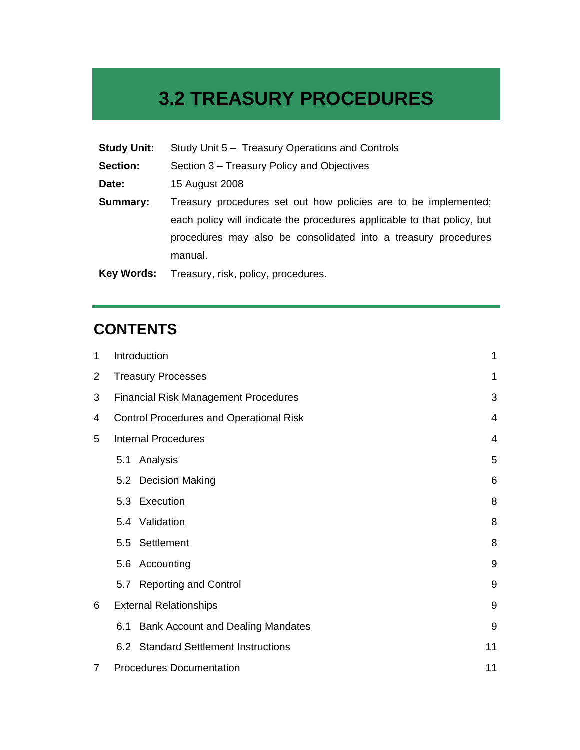# **3.2 TREASURY PROCEDURES**

| <b>Study Unit:</b> | Study Unit 5 - Treasury Operations and Controls                         |
|--------------------|-------------------------------------------------------------------------|
| Section:           | Section 3 – Treasury Policy and Objectives                              |
| Date:              | 15 August 2008                                                          |
| Summary:           | Treasury procedures set out how policies are to be implemented;         |
|                    | each policy will indicate the procedures applicable to that policy, but |
|                    | procedures may also be consolidated into a treasury procedures          |
|                    | manual.                                                                 |
| <b>Key Words:</b>  | Treasury, risk, policy, procedures.                                     |

# **CONTENTS**

| 1              | Introduction                                        |                                          | $\mathbf 1$ |
|----------------|-----------------------------------------------------|------------------------------------------|-------------|
| $\overline{2}$ | <b>Treasury Processes</b>                           |                                          | 1           |
| 3              | <b>Financial Risk Management Procedures</b>         |                                          |             |
| 4              | <b>Control Procedures and Operational Risk</b><br>4 |                                          |             |
| 5              | <b>Internal Procedures</b>                          |                                          |             |
|                | 5.1                                                 | Analysis                                 | 5           |
|                |                                                     | 5.2 Decision Making                      | 6           |
|                |                                                     | 5.3 Execution                            | 8           |
|                |                                                     | 5.4 Validation                           | 8           |
|                | 5.5                                                 | Settlement                               | 8           |
|                |                                                     | 5.6 Accounting                           | 9           |
|                |                                                     | 5.7 Reporting and Control                | 9           |
| 6              | <b>External Relationships</b>                       |                                          | 9           |
|                | 6.1                                                 | <b>Bank Account and Dealing Mandates</b> | 9           |
|                |                                                     | 6.2 Standard Settlement Instructions     | 11          |
| 7              | <b>Procedures Documentation</b><br>11               |                                          |             |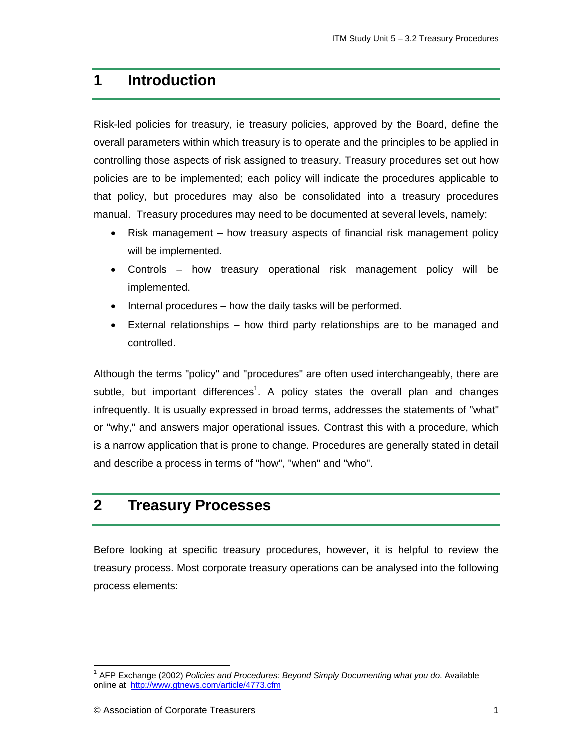# **1 Introduction**

Risk-led policies for treasury, ie treasury policies, approved by the Board, define the overall parameters within which treasury is to operate and the principles to be applied in controlling those aspects of risk assigned to treasury. Treasury procedures set out how policies are to be implemented; each policy will indicate the procedures applicable to that policy, but procedures may also be consolidated into a treasury procedures manual. Treasury procedures may need to be documented at several levels, namely:

- Risk management how treasury aspects of financial risk management policy will be implemented.
- Controls how treasury operational risk management policy will be implemented.
- Internal procedures how the daily tasks will be performed.
- External relationships how third party relationships are to be managed and controlled.

Although the terms "policy" and "procedures" are often used interchangeably, there are subtle, but important differences<sup>1</sup>. A policy states the overall plan and changes infrequently. It is usually expressed in broad terms, addresses the statements of "what" or "why," and answers major operational issues. Contrast this with a procedure, which is a narrow application that is prone to change. Procedures are generally stated in detail and describe a process in terms of "how", "when" and "who".

## **2 Treasury Processes**

Before looking at specific treasury procedures, however, it is helpful to review the treasury process. Most corporate treasury operations can be analysed into the following process elements:

1

<sup>&</sup>lt;sup>1</sup> AFP Exchange (2002) *Policies and Procedures: Beyond Simply Documenting what you do.* Available online at http://www.gtnews.com/article/4773.cfm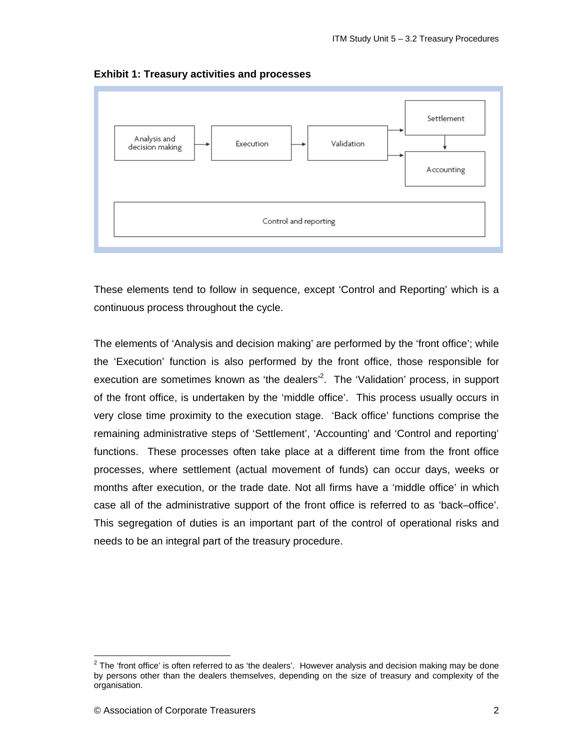

**Exhibit 1: Treasury activities and processes** 

These elements tend to follow in sequence, except 'Control and Reporting' which is a continuous process throughout the cycle.

The elements of 'Analysis and decision making' are performed by the 'front office'; while the 'Execution' function is also performed by the front office, those responsible for execution are sometimes known as 'the dealers'<sup>2</sup>. The 'Validation' process, in support of the front office, is undertaken by the 'middle office'. This process usually occurs in very close time proximity to the execution stage. 'Back office' functions comprise the remaining administrative steps of 'Settlement', 'Accounting' and 'Control and reporting' functions. These processes often take place at a different time from the front office processes, where settlement (actual movement of funds) can occur days, weeks or months after execution, or the trade date. Not all firms have a 'middle office' in which case all of the administrative support of the front office is referred to as 'back–office'. This segregation of duties is an important part of the control of operational risks and needs to be an integral part of the treasury procedure.

1

 $2$  The 'front office' is often referred to as 'the dealers'. However analysis and decision making may be done by persons other than the dealers themselves, depending on the size of treasury and complexity of the organisation.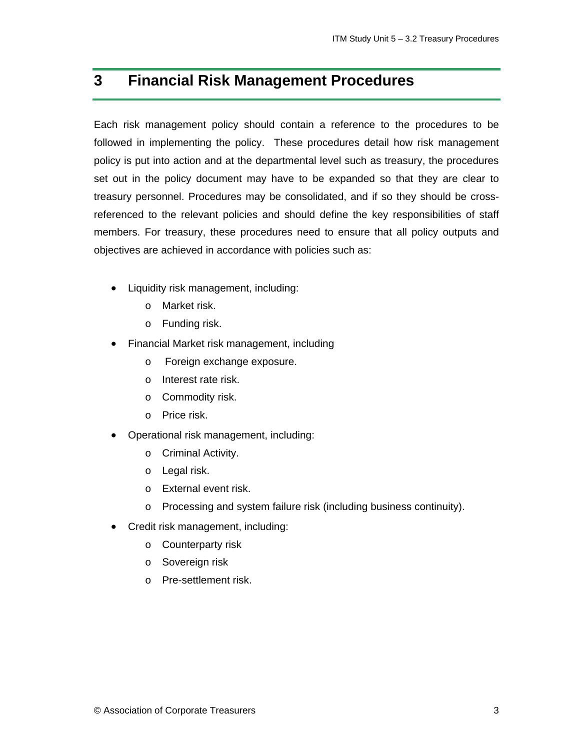# **3 Financial Risk Management Procedures**

Each risk management policy should contain a reference to the procedures to be followed in implementing the policy. These procedures detail how risk management policy is put into action and at the departmental level such as treasury, the procedures set out in the policy document may have to be expanded so that they are clear to treasury personnel. Procedures may be consolidated, and if so they should be crossreferenced to the relevant policies and should define the key responsibilities of staff members. For treasury, these procedures need to ensure that all policy outputs and objectives are achieved in accordance with policies such as:

- Liquidity risk management, including:
	- o Market risk.
	- o Funding risk.
- Financial Market risk management, including
	- o Foreign exchange exposure.
	- o Interest rate risk.
	- o Commodity risk.
	- o Price risk.
- Operational risk management, including:
	- o Criminal Activity.
	- o Legal risk.
	- o External event risk.
	- o Processing and system failure risk (including business continuity).
- Credit risk management, including:
	- o Counterparty risk
	- o Sovereign risk
	- o Pre-settlement risk.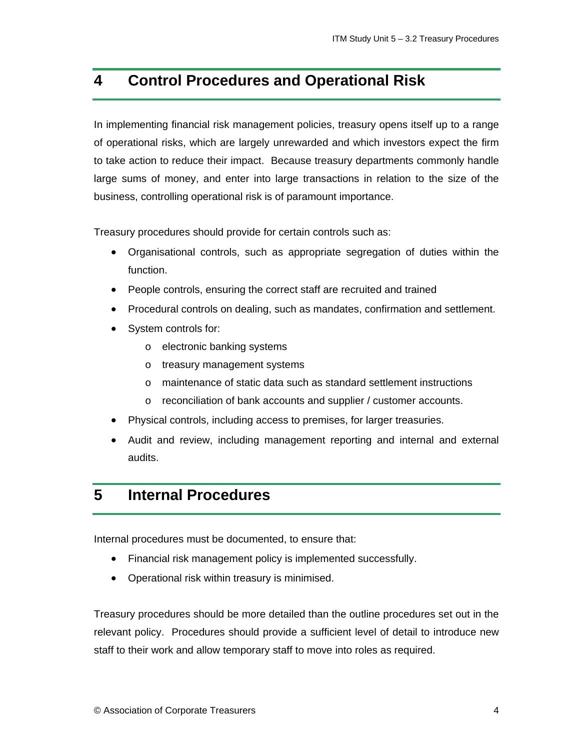# **4 Control Procedures and Operational Risk**

In implementing financial risk management policies, treasury opens itself up to a range of operational risks, which are largely unrewarded and which investors expect the firm to take action to reduce their impact. Because treasury departments commonly handle large sums of money, and enter into large transactions in relation to the size of the business, controlling operational risk is of paramount importance.

Treasury procedures should provide for certain controls such as:

- Organisational controls, such as appropriate segregation of duties within the function.
- People controls, ensuring the correct staff are recruited and trained
- Procedural controls on dealing, such as mandates, confirmation and settlement.
- System controls for:
	- o electronic banking systems
	- o treasury management systems
	- o maintenance of static data such as standard settlement instructions
	- o reconciliation of bank accounts and supplier / customer accounts.
- Physical controls, including access to premises, for larger treasuries.
- Audit and review, including management reporting and internal and external audits.

# **5 Internal Procedures**

Internal procedures must be documented, to ensure that:

- Financial risk management policy is implemented successfully.
- Operational risk within treasury is minimised.

Treasury procedures should be more detailed than the outline procedures set out in the relevant policy. Procedures should provide a sufficient level of detail to introduce new staff to their work and allow temporary staff to move into roles as required.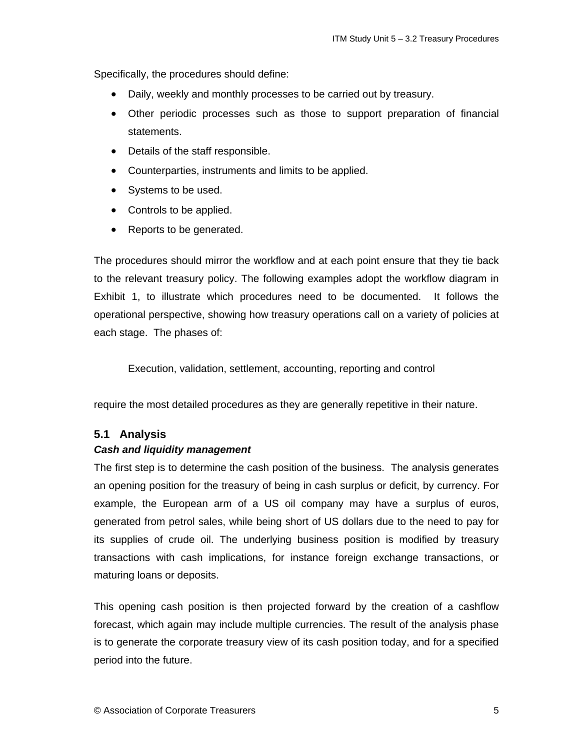Specifically, the procedures should define:

- Daily, weekly and monthly processes to be carried out by treasury.
- Other periodic processes such as those to support preparation of financial statements.
- Details of the staff responsible.
- Counterparties, instruments and limits to be applied.
- Systems to be used.
- Controls to be applied.
- Reports to be generated.

The procedures should mirror the workflow and at each point ensure that they tie back to the relevant treasury policy. The following examples adopt the workflow diagram in Exhibit 1, to illustrate which procedures need to be documented. It follows the operational perspective, showing how treasury operations call on a variety of policies at each stage. The phases of:

Execution, validation, settlement, accounting, reporting and control

require the most detailed procedures as they are generally repetitive in their nature.

#### **5.1 Analysis**

#### *Cash and liquidity management*

The first step is to determine the cash position of the business. The analysis generates an opening position for the treasury of being in cash surplus or deficit, by currency. For example, the European arm of a US oil company may have a surplus of euros, generated from petrol sales, while being short of US dollars due to the need to pay for its supplies of crude oil. The underlying business position is modified by treasury transactions with cash implications, for instance foreign exchange transactions, or maturing loans or deposits.

This opening cash position is then projected forward by the creation of a cashflow forecast, which again may include multiple currencies. The result of the analysis phase is to generate the corporate treasury view of its cash position today, and for a specified period into the future.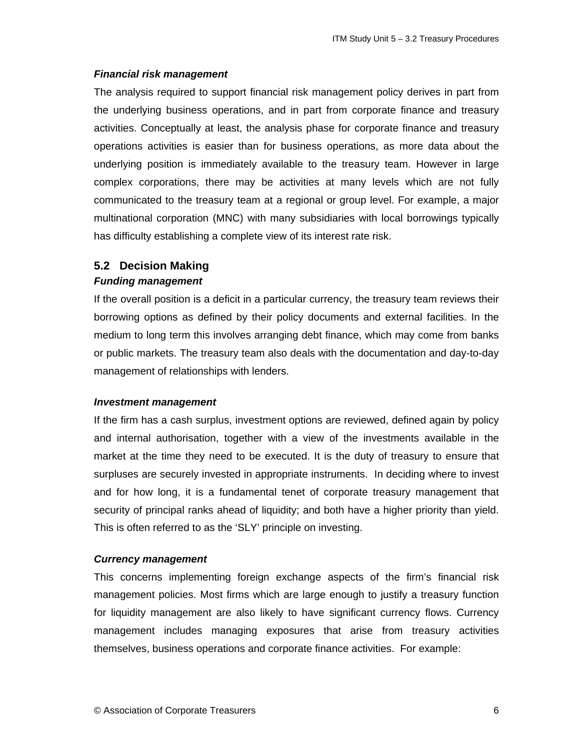#### *Financial risk management*

The analysis required to support financial risk management policy derives in part from the underlying business operations, and in part from corporate finance and treasury activities. Conceptually at least, the analysis phase for corporate finance and treasury operations activities is easier than for business operations, as more data about the underlying position is immediately available to the treasury team. However in large complex corporations, there may be activities at many levels which are not fully communicated to the treasury team at a regional or group level. For example, a major multinational corporation (MNC) with many subsidiaries with local borrowings typically has difficulty establishing a complete view of its interest rate risk.

# **5.2 Decision Making**

### *Funding management*

If the overall position is a deficit in a particular currency, the treasury team reviews their borrowing options as defined by their policy documents and external facilities. In the medium to long term this involves arranging debt finance, which may come from banks or public markets. The treasury team also deals with the documentation and day-to-day management of relationships with lenders.

#### *Investment management*

If the firm has a cash surplus, investment options are reviewed, defined again by policy and internal authorisation, together with a view of the investments available in the market at the time they need to be executed. It is the duty of treasury to ensure that surpluses are securely invested in appropriate instruments. In deciding where to invest and for how long, it is a fundamental tenet of corporate treasury management that security of principal ranks ahead of liquidity; and both have a higher priority than yield. This is often referred to as the 'SLY' principle on investing.

#### *Currency management*

This concerns implementing foreign exchange aspects of the firm's financial risk management policies. Most firms which are large enough to justify a treasury function for liquidity management are also likely to have significant currency flows. Currency management includes managing exposures that arise from treasury activities themselves, business operations and corporate finance activities. For example: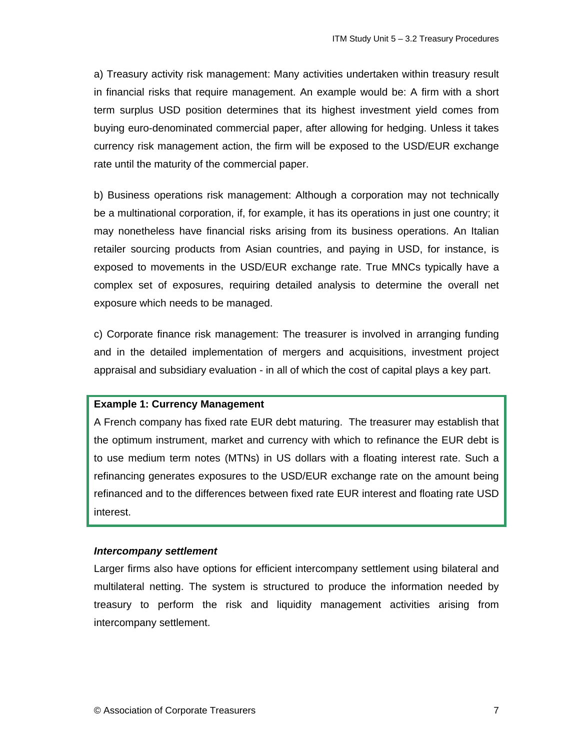a) Treasury activity risk management: Many activities undertaken within treasury result in financial risks that require management. An example would be: A firm with a short term surplus USD position determines that its highest investment yield comes from buying euro-denominated commercial paper, after allowing for hedging. Unless it takes currency risk management action, the firm will be exposed to the USD/EUR exchange rate until the maturity of the commercial paper.

b) Business operations risk management: Although a corporation may not technically be a multinational corporation, if, for example, it has its operations in just one country; it may nonetheless have financial risks arising from its business operations. An Italian retailer sourcing products from Asian countries, and paying in USD, for instance, is exposed to movements in the USD/EUR exchange rate. True MNCs typically have a complex set of exposures, requiring detailed analysis to determine the overall net exposure which needs to be managed.

c) Corporate finance risk management: The treasurer is involved in arranging funding and in the detailed implementation of mergers and acquisitions, investment project appraisal and subsidiary evaluation - in all of which the cost of capital plays a key part.

#### **Example 1: Currency Management**

A French company has fixed rate EUR debt maturing. The treasurer may establish that the optimum instrument, market and currency with which to refinance the EUR debt is to use medium term notes (MTNs) in US dollars with a floating interest rate. Such a refinancing generates exposures to the USD/EUR exchange rate on the amount being refinanced and to the differences between fixed rate EUR interest and floating rate USD interest.

#### *Intercompany settlement*

Larger firms also have options for efficient intercompany settlement using bilateral and multilateral netting. The system is structured to produce the information needed by treasury to perform the risk and liquidity management activities arising from intercompany settlement.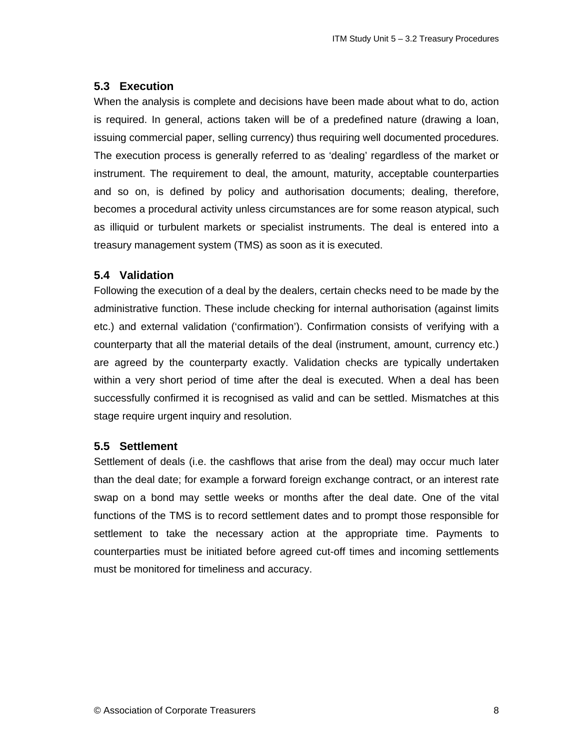### **5.3 Execution**

When the analysis is complete and decisions have been made about what to do, action is required. In general, actions taken will be of a predefined nature (drawing a loan, issuing commercial paper, selling currency) thus requiring well documented procedures. The execution process is generally referred to as 'dealing' regardless of the market or instrument. The requirement to deal, the amount, maturity, acceptable counterparties and so on, is defined by policy and authorisation documents; dealing, therefore, becomes a procedural activity unless circumstances are for some reason atypical, such as illiquid or turbulent markets or specialist instruments. The deal is entered into a treasury management system (TMS) as soon as it is executed.

### **5.4 Validation**

Following the execution of a deal by the dealers, certain checks need to be made by the administrative function. These include checking for internal authorisation (against limits etc.) and external validation ('confirmation'). Confirmation consists of verifying with a counterparty that all the material details of the deal (instrument, amount, currency etc.) are agreed by the counterparty exactly. Validation checks are typically undertaken within a very short period of time after the deal is executed. When a deal has been successfully confirmed it is recognised as valid and can be settled. Mismatches at this stage require urgent inquiry and resolution.

### **5.5 Settlement**

Settlement of deals (i.e. the cashflows that arise from the deal) may occur much later than the deal date; for example a forward foreign exchange contract, or an interest rate swap on a bond may settle weeks or months after the deal date. One of the vital functions of the TMS is to record settlement dates and to prompt those responsible for settlement to take the necessary action at the appropriate time. Payments to counterparties must be initiated before agreed cut-off times and incoming settlements must be monitored for timeliness and accuracy.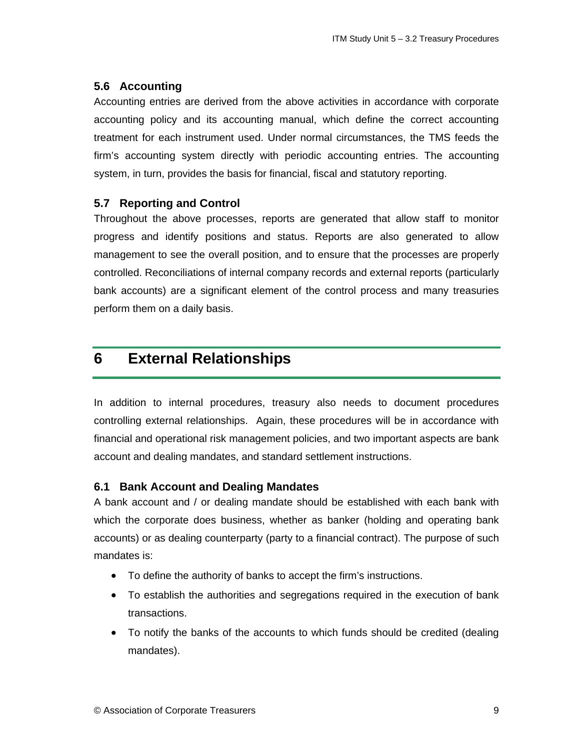### **5.6 Accounting**

Accounting entries are derived from the above activities in accordance with corporate accounting policy and its accounting manual, which define the correct accounting treatment for each instrument used. Under normal circumstances, the TMS feeds the firm's accounting system directly with periodic accounting entries. The accounting system, in turn, provides the basis for financial, fiscal and statutory reporting.

### **5.7 Reporting and Control**

Throughout the above processes, reports are generated that allow staff to monitor progress and identify positions and status. Reports are also generated to allow management to see the overall position, and to ensure that the processes are properly controlled. Reconciliations of internal company records and external reports (particularly bank accounts) are a significant element of the control process and many treasuries perform them on a daily basis.

# **6 External Relationships**

In addition to internal procedures, treasury also needs to document procedures controlling external relationships. Again, these procedures will be in accordance with financial and operational risk management policies, and two important aspects are bank account and dealing mandates, and standard settlement instructions.

### **6.1 Bank Account and Dealing Mandates**

A bank account and / or dealing mandate should be established with each bank with which the corporate does business, whether as banker (holding and operating bank accounts) or as dealing counterparty (party to a financial contract). The purpose of such mandates is:

- To define the authority of banks to accept the firm's instructions.
- To establish the authorities and segregations required in the execution of bank transactions.
- To notify the banks of the accounts to which funds should be credited (dealing mandates).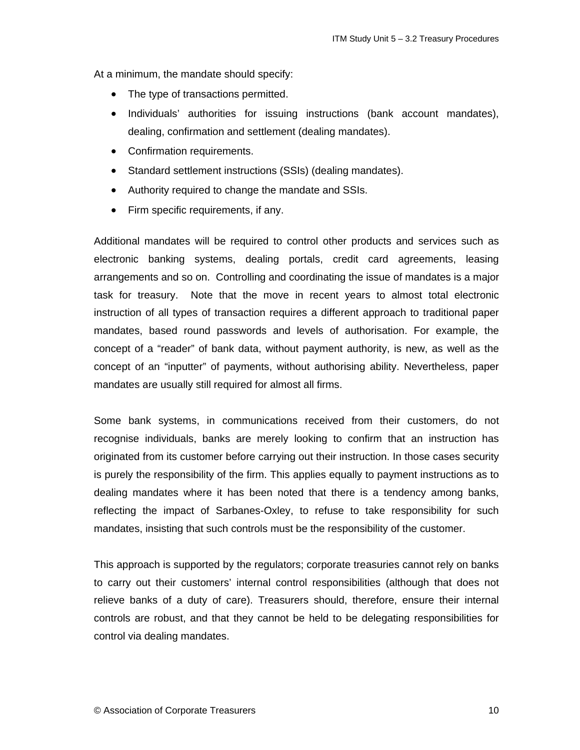At a minimum, the mandate should specify:

- The type of transactions permitted.
- Individuals' authorities for issuing instructions (bank account mandates), dealing, confirmation and settlement (dealing mandates).
- Confirmation requirements.
- Standard settlement instructions (SSIs) (dealing mandates).
- Authority required to change the mandate and SSIs.
- Firm specific requirements, if any.

Additional mandates will be required to control other products and services such as electronic banking systems, dealing portals, credit card agreements, leasing arrangements and so on. Controlling and coordinating the issue of mandates is a major task for treasury. Note that the move in recent years to almost total electronic instruction of all types of transaction requires a different approach to traditional paper mandates, based round passwords and levels of authorisation. For example, the concept of a "reader" of bank data, without payment authority, is new, as well as the concept of an "inputter" of payments, without authorising ability. Nevertheless, paper mandates are usually still required for almost all firms.

Some bank systems, in communications received from their customers, do not recognise individuals, banks are merely looking to confirm that an instruction has originated from its customer before carrying out their instruction. In those cases security is purely the responsibility of the firm. This applies equally to payment instructions as to dealing mandates where it has been noted that there is a tendency among banks, reflecting the impact of Sarbanes-Oxley, to refuse to take responsibility for such mandates, insisting that such controls must be the responsibility of the customer.

This approach is supported by the regulators; corporate treasuries cannot rely on banks to carry out their customers' internal control responsibilities (although that does not relieve banks of a duty of care). Treasurers should, therefore, ensure their internal controls are robust, and that they cannot be held to be delegating responsibilities for control via dealing mandates.